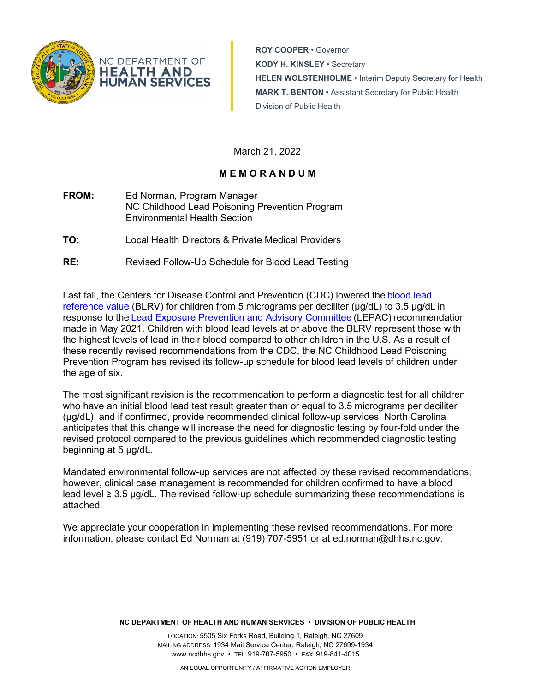

**ROY COOPER** • Governor **KODY H. KINSLEY** • Secretary **HELEN WOLSTENHOLME** • Interim Deputy Secretary for Health **MARK T. BENTON •** Assistant Secretary for Public Health Division of Public Health

March 21, 2022

# **M E M O R A N D U M**

- **FROM:** Ed Norman, Program Manager NC Childhood Lead Poisoning Prevention Program Environmental Health Section
- **TO:** Local Health Directors & Private Medical Providers
- **RE:** Revised Follow-Up Schedule for Blood Lead Testing

Last fall, the Centers for Disease Control and Prevention (CDC) lowered the [blood lead](https://urldefense.com/v3/__https:/www.cdc.gov/nceh/lead/data/blood-lead-reference-value.htm__;!!HYmSToo!OSdlPVRZwmepGa6Gtxpl7A5-VHH3e_LHSQN89XkUmud6U2n9I3TFLa1nLSerLP3890-9v1c$)  [reference value](https://urldefense.com/v3/__https:/www.cdc.gov/nceh/lead/data/blood-lead-reference-value.htm__;!!HYmSToo!OSdlPVRZwmepGa6Gtxpl7A5-VHH3e_LHSQN89XkUmud6U2n9I3TFLa1nLSerLP3890-9v1c$) (BLRV) for children from 5 micrograms per deciliter ( $\mu$ g/dL) to 3.5  $\mu$ g/dL in response to the [Lead Exposure Prevention and Advisory Committee](https://urldefense.com/v3/__https:/www.cdc.gov/nceh/lead/advisory/lepac.htm__;!!HYmSToo!OSdlPVRZwmepGa6Gtxpl7A5-VHH3e_LHSQN89XkUmud6U2n9I3TFLa1nLSerLP38e2rm3rk$) (LEPAC) recommendation made in May 2021. Children with blood lead levels at or above the BLRV represent those with the highest levels of lead in their blood compared to other children in the U.S. As a result of these recently revised recommendations from the CDC, the NC Childhood Lead Poisoning Prevention Program has revised its follow-up schedule for blood lead levels of children under the age of six.

The most significant revision is the recommendation to perform a diagnostic test for all children who have an initial blood lead test result greater than or equal to 3.5 micrograms per deciliter (μg/dL), and if confirmed, provide recommended clinical follow-up services. North Carolina anticipates that this change will increase the need for diagnostic testing by four-fold under the revised protocol compared to the previous guidelines which recommended diagnostic testing beginning at 5 μg/dL.

Mandated environmental follow-up services are not affected by these revised recommendations; however, clinical case management is recommended for children confirmed to have a blood lead level  $\geq 3.5$  µg/dL. The revised follow-up schedule summarizing these recommendations is attached.

We appreciate your cooperation in implementing these revised recommendations. For more information, please contact Ed Norman at (919) 707-5951 or at ed.norman@dhhs.nc.gov.

**NC DEPARTMENT OF HEALTH AND HUMAN SERVICES • DIVISION OF PUBLIC HEALTH**

LOCATION: 5505 Six Forks Road, Building 1, Raleigh, NC 27609 MAILING ADDRESS: 1934 Mail Service Center, Raleigh, NC 27699-1934 www.ncdhhs.gov • TEL: 919-707-5950 • FAX: 919-841-4015